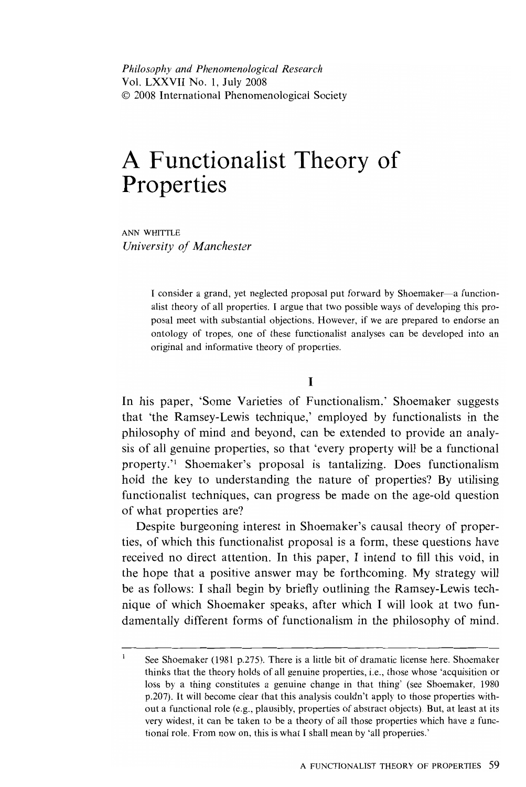*Philosophy and Phenomenological Research* Vol. LXXVII No. 1, July 2008 © 2008 International Phenomenological Society

# A Functionalist Theory of Properties

ANN WHITTLE *University 0/ Manchester*

> I consider a grand, yet neglected proposal put forward by Shoemaker-a functionalist theory of all properties. I argue that two possible ways of developing this proposal meet with substantial objections. However, if we are prepared to endorse an ontology of tropes, one of these functionalist analyses can be developed into an original and informative theory of properties.

#### I

In his paper, 'Some Varieties of Functionalism,' Shoemaker suggests that 'the Ramsey-Lewis technique,' employed by functionalists in the philosophy of mind and beyond, can be extended to provide an analysis of all genuine properties, so that 'every property will be a functional property.'l Shoemaker's proposal is tantalizing. Does functionalism hold the key to understanding the nature of properties? By utilising functionalist techniques, can progress be made on the age-old question of what properties are?

Despite burgeoning interest in Shoemaker's causal theory of properties, of which this functionalist proposal is a form, these questions have received no direct attention. In this paper, I intend to fill this void, in the hope that a positive answer may be forthcoming. My strategy will be as follows: I shall begin by briefly outlining the Ramsey-Lewis technique of which Shoemaker speaks, after which I will look at two fundamentally different forms of functionalism in the philosophy of mind.

See Shoemaker (1981 p.275). There is a little bit of dramatic license here. Shoemaker thinks that the theory holds of all genuine properties, i.e., those whose 'acquisition or loss by a thing constitutes a genuine change in that thing' (see Shoemaker, 1980 p.207). It will become clear that this analysis couldn't apply to those properties without a functional role (e.g., plausibly, properties of abstract objects). But, at least at its very widest, it can be taken to be a theory of all those properties which have a functional role. From now on, this is what I shall mean by 'all properties.'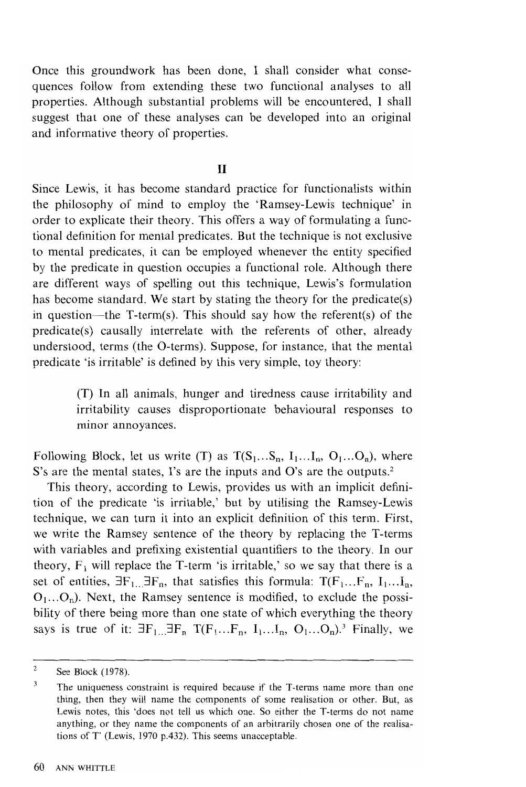Once this groundwork has been done, I shall consider what consequences follow from extending these two functional analyses to all properties. Although substantial problems will be encountered, I shall suggest that one of these analyses can be developed into an original and informative theory of properties.

#### **11**

Since Lewis, it has become standard practice for functionalists within the philosophy of mind to employ the 'Ramsey-Lewis technique' in order to explicate their theory. This offers a way of formulating a functional definition for mental predicates. But the technique is not exclusive to mental predicates, it can be employed whenever the entity specified by the predicate in question occupies a functional role. Although there are different ways of spelling out this technique, Lewis's formulation has become standard. We start by stating the theory for the predicate(s) in question—the T-term(s). This should say how the referent(s) of the predicate(s) causally interrelate with the referents of other, already understood, terms (the O-terms). Suppose, for instance, that the mental predicate 'is irritable' is defined by this very simple, toy theory:

> (T) In all animals, hunger and tiredness cause irritability and irritability causes disproportionate behavioural responses to minor annoyances.

Following Block, let us write (T) as  $T(S_1...S_n, I_1...I_n, O_1...O_n)$ , where S's are the mental states, I's are the inputs and O's are the outputs.<sup>2</sup>

This theory, according to Lewis, provides us with an implicit definition of the predicate 'is irritable,' but by utilising the Ramsey-Lewis technique, we can turn it into an explicit definition of this term. First, we write the Ramsey sentence of the theory by replacing the T-terms with variables and prefixing existential quantifiers to the theory. In our theory,  $F_1$  will replace the T-term 'is irritable,' so we say that there is a set of entities,  $\exists F_{1...}\exists F_n$ , that satisfies this formula:  $T(F_1...F_n, I_1...I_n,$  $O_1...O_n$ ). Next, the Ramsey sentence is modified, to exclude the possibility of there being more than one state of which everything the theory says is true of it:  $\exists F_1 \quad \exists F_n \quad T(F_1...F_n, I_1...I_n, O_1...O_n).$ <sup>3</sup> Finally, we

 $\overline{\mathbf{c}}$ See Block (1978).

 $\overline{\mathbf{3}}$ The uniqueness constraint is required because if the T-terms name more than one thing, then they will name the components of some realisation or other. But, as Lewis notes, this 'does not tell us which one. So either the T-terms do not name anything, or they name the components of an arbitrarily chosen one of the realisations of T' (Lewis, 1970 p.432). This seems unacceptable.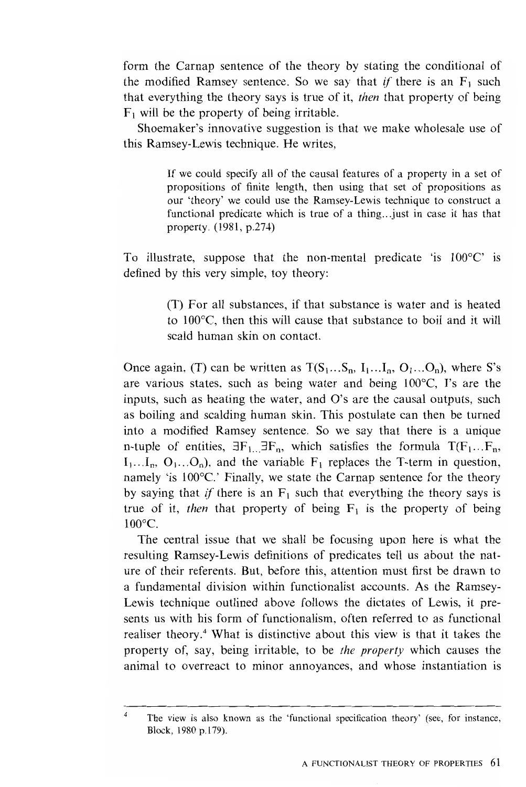form the Carnap sentence of the theory by stating the conditional of the modified Ramsey sentence. So we say that if there is an  $F_1$  such that everything the theory says is true of it, *then* that property of being  $F_1$  will be the property of being irritable.

Shoemaker's innovative suggestion is that we make wholesale use of this Ramsey-Lewis technique. He writes,

> If we could specify all of the causal features of a property in a set of propositions of finite length, then using that set of propositions as our 'theory' we could use the Ramsey-Lewis technique to construct a functional predicate which is true of a thing...just in case it has that property. (1981, p.274)

To illustrate, suppose that the non-mental predicate 'is 100°C' is defined by this very simple, toy theory:

> (T) For all substances, if that substance is water and is heated to 100°C, then this will cause that substance to boil and it will scald human skin on contact.

Once again, (T) can be written as  $T(S_1...S_n, I_1...I_n, O_1...O_n)$ , where S's are various states, such as being water and being 100°C, I's are the inputs, such as heating the water, and O's are the causal outputs, such as boiling and scalding human skin. This postulate can then be turned into a modified Ramsey sentence. So we say that there is a unique n-tuple of entities,  $\exists F_{1...}\exists F_n$ , which satisfies the formula  $T(F_1...F_n)$ ,  $I_1...I_n$ ,  $O_1...O_n$ ), and the variable  $F_1$  replaces the T-term in question, namely 'is 100°C.' Finally, we state the Carnap sentence for the theory by saying that if there is an  $F_1$  such that everything the theory says is true of it, *then* that property of being  $F_1$  is the property of being 100°C.

The central issue that we shall be focusing upon here is what the resulting Ramsey-Lewis definitions of predicates tell us about the nature of their referents. But, before this, attention must first be drawn to a fundamental division within functionalist accounts. As the Ramsey-Lewis technique outlined above follows the dictates of Lewis, it presents us with his form of functionalism, often referred to as functional realiser theory.4 What is distinctive about this view is that it takes the property of, say, being irritable, to be *the property* which causes the animaI to overreact to minor annoyances, and whose instantiation is

The view is also known as the 'functional specification theory' (see, for instance, Block, 1980 p.179).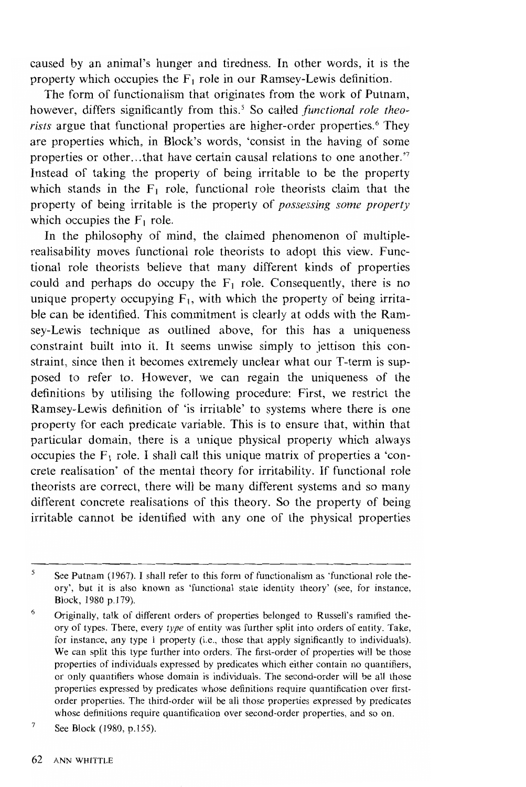caused by an animal's hunger and tiredness. In other words, it is the property which occupies the  $F_1$  role in our Ramsey-Lewis definition.

The form of functionalism that originates from the work of Putnam, however, differs significantly from this.<sup>5</sup> So called *functional role theorists* argue that functional properties are higher-order properties.<sup>6</sup> They are properties which, in Block's words, 'consist in the having of some properties or other...that have certain causal relations to one another.'7 Instead of taking the property of being irritable to be the property which stands in the  $F_1$  role, functional role theorists claim that the property of being irritable is the property of *possessing some property* which occupies the  $F_1$  role.

In the philosophy of mind, the claimed phenomenon of multiplerealisability moves functional role theorists to adopt this view. Functional role theorists believe that many different kinds of properties could and perhaps do occupy the  $F_1$  role. Consequently, there is no unique property occupying  $F_1$ , with which the property of being irritable can be identified. This commitment is clearly at odds with the Ramsey-Lewis technique as outlined above, for this has a uniqueness constraint built into it. It seems unwise simply to jettison this constraint, since then it becomes extremely unclear what our T-term is supposed to refer to. However, we can regain the uniqueness of the definitions by utilising the following procedure: First, we restrict the Ramsey-Lewis definition of 'is irritable' to systems where there is one property for each predicate variable. This is to ensure that, within that particular domain, there is a unique physical property which always occupies the  $F_1$  role. I shall call this unique matrix of properties a 'concrete realisation' of the mental theory for irritability. If functional role theorists are correct, there will be many different systems and so many different concrete realisations of this theory. So the property of being irritable cannot be identified with any one of the physical properties

<sup>5</sup> See Putnam (1967). I shall refer to this form of functionalism as 'functional role theory', but it is also known as 'functional state identity theory' (see, for instance, Block, 1980 p.179).

<sup>6</sup> Originally, talk of different orders of properties belonged to Russell's ramified theory of types. There, every *type* of entity was further split into orders of entity. Take, for instance, any type 1 property (i.e., those that apply significantly to individuals). We can split this type further into orders. The first-order of properties will be those properties of individuals expressed by predicates which either contain no quantifiers, or only quantifiers whose domain is individuals. The second-order will be all those properties expressed by predicates whose definitions require quantification over firstorder properties. The third-order will be all those properties expressed by predicates whose definitions require quantification over second-order properties, and so on.

 $\overline{7}$ See Block (1980, p.155).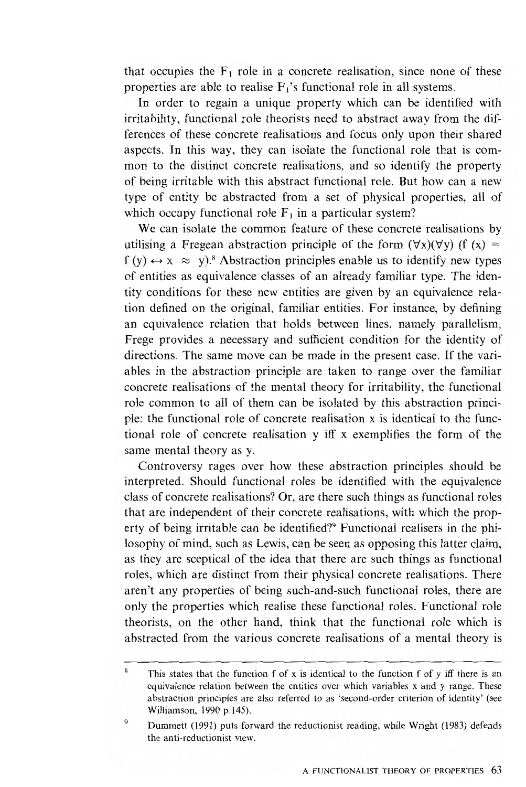that occupies the  $F_1$  role in a concrete realisation, since none of these properties are able to realise  $F_1$ 's functional role in all systems.

In order to regain a unique property which can be identified with irritability, functional role theorists need to abstract away from the differences of these concrete realisations and focus only upon their shared aspects. In this way, they can isolate the functional role that is common to the distinct concrete realisations, and so identify the property of being irritable with this abstract functional role. But how can a new type of entity be abstracted from a set of physical properties, all of which occupy functional role  $F_1$  in a particular system?

We can isolate the common feature of these concrete realisations by utilising a Fregean abstraction principle of the form  $(\forall x)(\forall y)$  (f (x) =  $f(y) \leftrightarrow x \approx y$ .<sup>8</sup> Abstraction principles enable us to identify new types of entities as equivalence classes of an already familiar type. The identity conditions for these new entities are given by an equivalence relation defined on the original, familiar entities. For instance, by defining an equivalence relation that holds between lines, namely parallelism, Frege provides a necessary and sufficient condition for the identity of directions. The same move can be made in the present case. If the variables in the abstraction principle are taken to range over the familiar concrete realisations of the mental theory for irritability, the functional role common to all of them can be isolated by this abstraction principle: the functional role of concrete realisation  $x$  is identical to the functional role of concrete realisation y iff x exemplifies the form of the same mental theory as y.

Controversy rages over how these abstraction principles should be interpreted. Should functional roles be identified with the equivalence class of concrete realisations? Or, are there such things as functional roles that are independent of their concrete realisations, with which the property of being irritable can be identified?9 Functional realisers in the philosophy of mind, such as Lewis, can be seen as opposing this latter claim, as they are sceptical of the idea that there are such things as functional roles, which are distinct from their physical concrete realisations. There aren't any properties of being such-and-such functional roles, there are only the properties which realise these functional roles. Functional role theorists, on the other hand, think that the functional role which is abstracted from the various concrete realisations of a mental theory is

This states that the function f of x is identical to the function f of y iff there is an equivalence relation between the entities over which variables x and y range. These abstraction principles are also referred to as 'second-order criterion of identity' (see Williamson, 1990 p.145).

 $\overline{Q}$ Dummett (1991) puts forward the reductionist reading, while Wright (1983) defends the anti-reductionist view.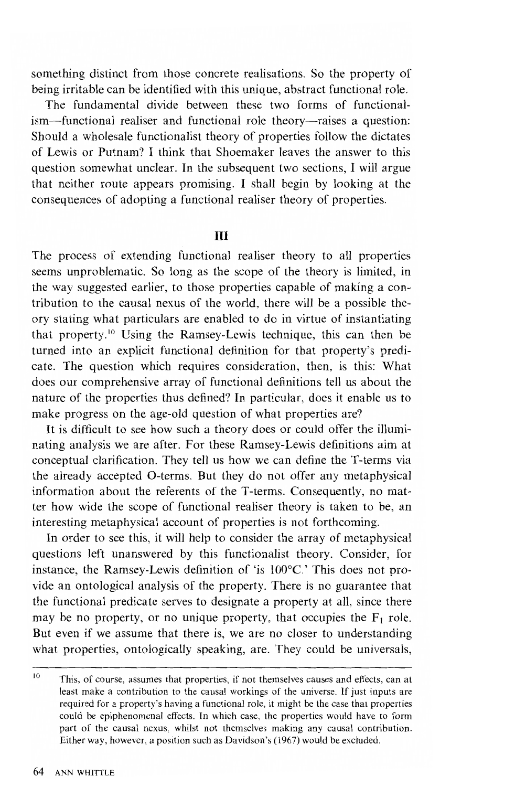something distinct from those concrete realisations. So the property of being irritable can be identified with this unique, abstract functional role.

The fundamental divide between these two forms of functionalism—functional realiser and functional role theory—raises a question: Should a wholesale functionalist theory of properties follow the dictates of Lewis or Putnam? I think that Shoemaker leaves the answer to this question somewhat unclear. In the subsequent two sections, I will argue that neither route appears promising. I shall begin by looking at the consequences of adopting a functional realiser theory of properties.

**111**

The process of extending functional realiser theory to all properties seems unproblematic. So long as the scope of the theory is limited, in the way suggested earlier, to those properties capable of making a contribution to the causal nexus of the world, there will be a possible theory stating what particulars are enabled to do in virtue of instantiating that property.<sup>10</sup> Using the Ramsey-Lewis technique, this can then be turned into an explicit functional definition for that property's predicate. The question which requires consideration, then, is this: What does our comprehensive array of functional definitions tell us about the nature of the properties thus defined? In particular, does it enable us to make progress on the age-old question of what properties are?

It is difficult to see how such a theory does or could offer the illuminating analysis we are after. For these Ramsey-Lewis definitions aim at conceptual clarification. They tell us how we can define the T-terms via the already accepted O-terms. But they do not offer any metaphysical information about the referents of the T-terms. Consequently, no matter how wide the scope of functional realiser theory is taken to be, an interesting metaphysical account of properties is not forthcoming.

In order to see this, it will help to consider the array of metaphysical questions left unanswered by this functionalist theory. Consider, for instance, the Ramsey-Lewis definition of 'is 100°C.' This does not provide an ontological analysis of the property. There is no guarantee that the functional predicate serves to designate a property at all, since there may be no property, or no unique property, that occupies the  $F_1$  role. But even if we assurne that there is, we are no closer to understanding what properties, ontologically speaking, are. They could be universals,

<sup>&</sup>lt;sup>10</sup> This, of course, assumes that properties, if not themselves causes and effects, can at least make a contribution to the causal workings of the universe. If just inputs are required for a property's having a functional role, it might be the case that properties could be epiphenomenal effects. In which case, the properties would have to form part of the causal nexus, whilst not themselves making any causal contribution. Either way, however, a position such as Davidson's (1967) would be excluded.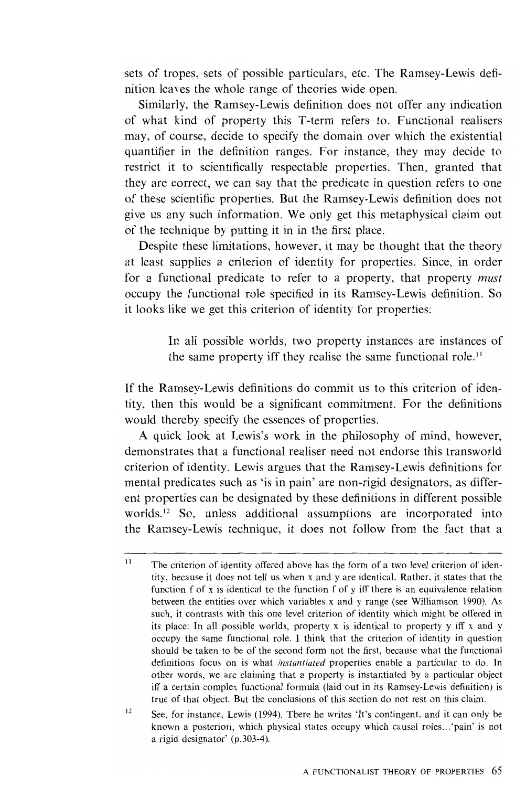sets of tropes, sets of possible particulars, etc. The Ramsey-Lewis definition leaves the whole range of theories wide open.

Similarly, the Ramsey-Lewis definition does not offer any indication of what kind of property this T-term refers to. Functional realisers may, of course, decide to specify the domain over which the existential quantifier in the definition ranges. For instance, they may decide to restrict it to scientifically respectable properties. Then, granted that they are correct, we can say that the predicate in question refers to one of these scientific properties. But the Ramsey-Lewis definition does not give us any such information. We only get this metaphysical claim out of the technique by putting it in in the first place.

Despite these limitations, however, it may be thought that the theory at least supplies a criterion of identity for properties. Since, in order for a functional predicate to refer to a property, that property *must* occupy the functional role specified in its Ramsey-Lewis definition. So it looks like we get this criterion of identity for properties:

> In all possible worlds, two property instances are instances of the same property iff they realise the same functional role.<sup>11</sup>

If the Ramsey-Lewis definitions do commit us to this criterion of identity, then this would be a significant commitment. For the definitions would thereby specify the essences of properties.

A quick look at Lewis's work in the philosophy of mind, however, demonstrates that a functional realiser need not endorse this transworld criterion of identity. Lewis argues that the Ramsey-Lewis definitions for mental predicates such as 'is in pain' are non-rigid designators, as different properties can be designated by these definitions in different possible worlds.<sup>12</sup> So, unless additional assumptions are incorporated into the Ramsey-Lewis technique, it does not follow from the fact that a

<sup>11</sup> The criterion of identity offered above has the form of a two level criterion of identity, because it does not tell us when x and y are identical. Rather, it states that the function f of x is identical to the function f of y iff there is an equivalence relation between the entities over which variables x and y range (see Williamson 1990). As such, it contrasts with this one level criterion of identity which might be offered in its place: In all possible worlds, property x is identical to property y iff x and y occupy the same functional role. I think that the criterion of identity in question should be taken to be of the second form not the first, because what the functional definitions focus on is what *instantiated* properties enable a particular to do. In other words, we are claiming that a property is instantiated by a particular object iff a certain complex functional formula (laid out in its Ramsey-Lewis definition) is true of that object. But the conclusions of this section do not rest on this claim.

<sup>12</sup> See, for instance, Lewis (1994). There he writes 'It's contingent, and it can only be known a posteriori, which physical states occupy which causal roles...'pain' is not a rigid designator' (p.303-4).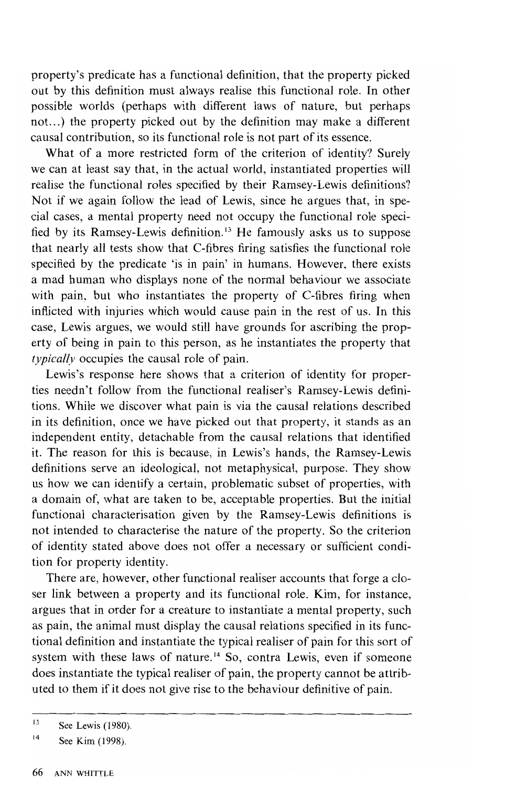property's predicate has a functional definition, that the property picked out by this definition must always realise this functional role. In other possible worlds (perhaps with different laws of nature, but perhaps not. ..) the property picked out by the definition may make a different causal contribution, so its functional role is not part of its essence.

What of a more restricted form of the criterion of identity? Surely we can at least say that, in the actual world, instantiated properties will realise the functional roles specified by their Ramsey-Lewis definitions? Not if we again follow the lead of Lewis, since he argues that, in special cases, amental property need not occupy the functional role specified by its Ramsey-Lewis definition. <sup>13</sup> He famously asks us to suppose that nearly all tests show that C-fibres firing satisfies the functional role specified by the predicate 'is in pain' in humans. However, there exists a mad human who displays none of the normal behaviour we associate with pain, but who instantiates the property of C-fibres firing when inflicted with injuries which would cause pain in the rest of us. In this case, Lewis argues, we would still have grounds for ascribing the property of being in pain to this person, as he instantiates the property that *typically* occupies the causal role of pain.

Lewis's response here shows that a criterion of identity for properties needn't follow from the functional realiser's Ramsey-Lewis definitions. While we discover what pain is via the causal relations described in its definition, once we have picked out that property, it stands as an independent entity, detachable from the causal relations that identified it. The reason for this is because, in Lewis's hands, the Ramsey-Lewis definitions serve an ideological, not metaphysical, purpose. They show us how we can identify a certain, problematic subset of properties, with a domain of, what are taken to be, acceptable properties. But the initial functional characterisation given by the Ramsey-Lewis definitions is not intended to characterise the nature of the property. So the criterion of identity stated above does not offer a necessary or sufficient condition for property identity.

There are, however, other functional realiser accounts that forge a closer link between a property and its functional role. Kim, for instance, argues that in order for a creature to instantiate a mental property, such as pain, the animal must display the causal relations specified in its functional definition and instantiate the typical realiser of pain for this sort of system with these laws of nature.<sup>14</sup> So, contra Lewis, even if someone does instantiate the typical realiser of pain, the property cannot be attributed to them if it does not give rise to the behaviour definitive of pain.

<sup>13</sup> See Lewis (1980).

<sup>14</sup> See Kim (1998).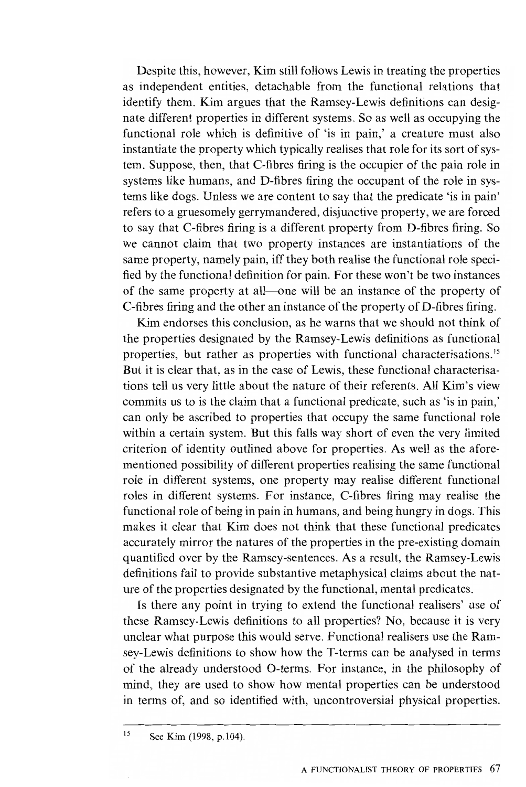Despite this, however, Kim still follows Lewis in treating the properties as independent entities, detachable from the functional relations that identify them. Kim argues that the Ramsey-Lewis definitions can designate different properties in different systems. So as weIl as occupying the functional role which is definitive of 'is in pain,' a creature must also instantiate the property which typically realises that role for its sort of system. Suppose, then, that C-fibres firing is the occupier of the pain role in systems like humans, and D-fibres firing the occupant of the role in systems like dogs. Unless we are content to say that the predicate 'is in pain' refers to a gruesomely gerrymandered, disjunctive property, we are forced to say that C-fibres firing is a different property from D-fibres firing. So we cannot claim that two property instances are instantiations of the same property, namely pain, iff they both realise the functional role specified by the functional definition for pain. For these won't be two instances of the same property at all-one will be an instance of the property of C-fibres firing and the other an instance of the property of D-fibres firing.

Kim endorses this conclusion, as he warns that we should not think of the properties designated by the Ramsey-Lewis definitions as functional properties, but rather as properties with functional characterisations. <sup>15</sup> But it is clear that, as in the case of Lewis, these functional characterisations tell us very little about the nature of their referents. All Kim's view commits us to is the claim that a functional predicate, such as 'is in pain,' can only be ascribed to properties that occupy the same functional role within a certain system. But this falls way short of even the very limited criterion of identity outlined above for properties. As well as the aforementioned possibility of different properties realising the same functional role in different systems, one property may realise different functional roles in different systems. For instance, C-fibres firing may realise the functional role of being in pain in humans, and being hungry in dogs. This makes it clear that Kim does not think that these functional predicates accurately mirror the natures of the properties in the pre-existing domain quantified over by the Ramsey-sentences. As a result, the Ramsey-Lewis definitions fail to provide substantive metaphysical claims about the nature of the properties designated by the functional, mental predicates.

Is there any point in trying to extend the functional realisers' use of these Ramsey-Lewis definitions to all properties? No, because it is very unclear what purpose this would serve. Functional realisers use the Ramsey-Lewis definitions to show how the T-terms can be analysed in terms of the already understood O-terms. For instance, in the philosophy of mind, they are used to show how mental properties can be understood in terms of, and so identified with, uncontroversial physical properties.

<sup>15</sup> See Kim (1998, p.104).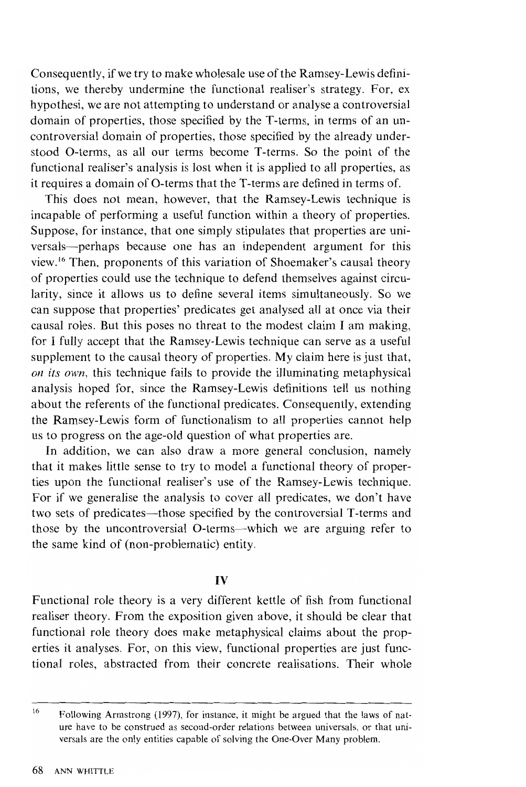Consequently, if we try to make wholesale use of the Ramsey-Lewis definitions, we thereby undermine the functional realiser's strategy. For, ex hypothesi, we are not attempting to understand or analyse a controversial domain of properties, those specified by the T-terms, in terms of an uncontroversial domain of properties, those specified by the already understood O-terms, as all our terms become T-terms. So the point of the functional realiser's analysis is lost when it is applied to all properties, as it requires a domain of O-terms that the T-terms are defined in terms of.

This does not mean, however, that the Ramsey-Lewis technique is incapable of performing a useful function within a theory of properties. Suppose, for instance, that one simply stipulates that properties are universals—perhaps because one has an independent argument for this view.<sup>16</sup> Then, proponents of this variation of Shoemaker's causal theory of properties could use the technique to defend themselves against circularity, since it allows us to define several items simultaneously. So we can suppose that properties' predicates get analysed all at once via their causal roles. But this poses no threat to the modest claim I am making, for I fully accept that the Ramsey-Lewis technique can serve as a useful supplement to the causal theory of properties. My claim here is just that, *on its own,* this technique fails to provide the illuminating metaphysical analysis hoped for, since the Ramsey-Lewis definitions tell us nothing about the referents of the functional predicates. Consequently, extending the Ramsey-Lewis form of functionalism to all properties cannot help us to progress on the age-old question of what properties are.

In addition, we can also draw a more general conclusion, namely that it makes little sense to try to model a functional theory of properties upon the functional realiser's use of the Ramsey-Lewis technique. For if we generalise the analysis to cover all predicates, we don't have two sets of predicates—those specified by the controversial T-terms and those by the uncontroversial O-terms—which we are arguing refer to the same kind of (non-problematic) entity.

#### **IV**

Functional role theory is a very different kettle of fish from functional realiser theory. From the exposition given above, it should be clear that functional role theory does make metaphysical claims about the properties it analyses. For, on this view, functional properties are just functional roles, abstracted from their concrete realisations. Their whole

<sup>&</sup>lt;sup>16</sup> Following Armstrong (1997), for instance, it might be argued that the laws of nature have to be construed as second-order relations between universals, or that universals are the only entities capable of solving the One-Over Many problem.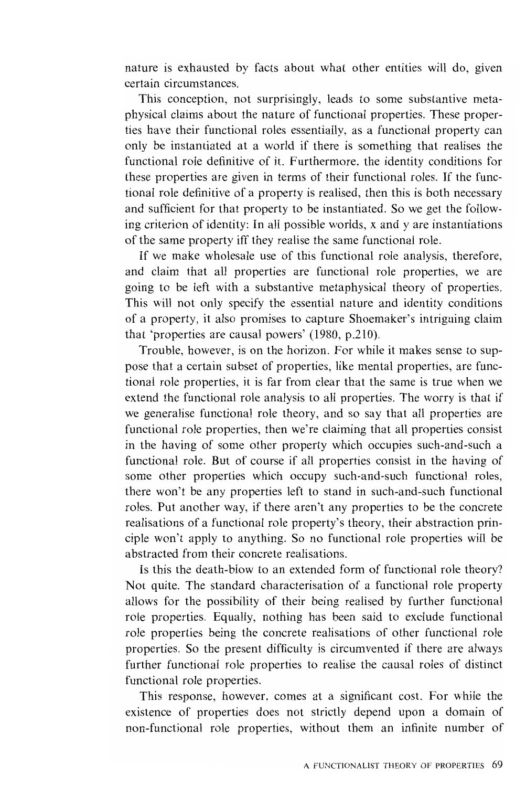nature is exhausted by facts about what other entities will do, given certain circumstances.

This conception, not surprisingly, leads to some substantive metaphysical claims about the nature of functional properties. These properties have their functional roles essentially, as a functional property can only be instantiated at a world if there is something that realises the functional role definitive of it. Furthermore, the identity conditions for these properties are given in terms of their functional roles. If the functional role definitive of a property is realised, then this is both necessary and sufficient for that property to be instantiated. So we get the following criterion of identity: In all possible worlds, x and y are instantiations of the same property iff they realise the same functional role.

If we make wholesale use of this functional role analysis, therefore, and claim that all properties are functional role properties, we are going to be left with a substantive metaphysical theory of properties. This will not only specify the essential nature and identity conditions of a property, it also promises to capture Shoemaker's intriguing claim that 'properties are causal powers' (1980, p.2IO).

Trouble, however, is on the horizon. For while it makes sense to suppose that a certain subset of properties, like mental properties, are functional role properties, it is far from clear that the same is true when we extend the functional role analysis to all properties. The worry is that if we generalise functional role theory, and so say that all properties are functional role properties, then we're claiming that all properties consist in the having of some other property which occupies such-and-such a functional role. But of course if all properties consist in the having of some other properties which occupy such-and-such functional roles, there won't be any properties left to stand in such-and-such functional roles. Put another way, if there aren't any properties to be the concrete realisations of a functional role property's theory, their abstraction principle won't apply to anything. So no functional role properties will be abstracted from their concrete realisations.

Is this the death-blow to an extended form of functional role theory? Not quite. The standard characterisation of a functional role property allows for the possibility of their being realised by further functional role properties. Equally, nothing has been said to exclude functional role properties being the concrete realisations of other functional role properties. So the present difficulty is circumvented if there are always further functional role properties to realise the causal roles of distinct functional role properties.

This response, however, comes at a significant cost. For while the existence of properties does not strictly depend upon a domain of non-functional role properties, without them an infinite number of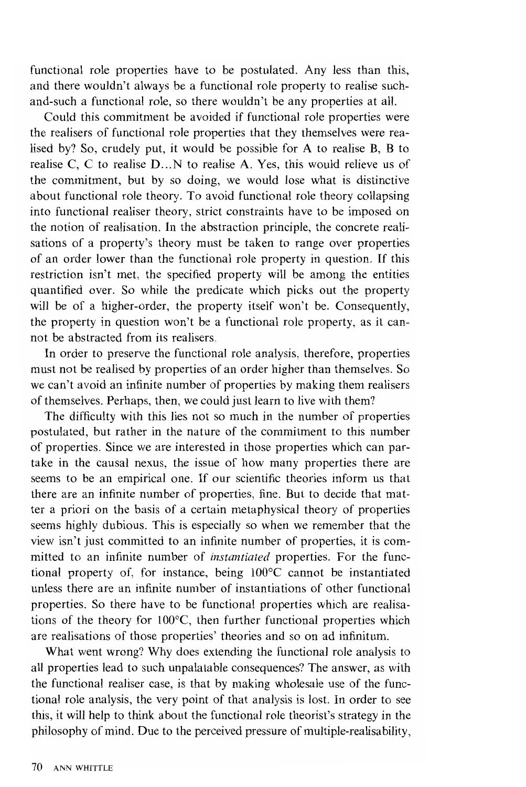functional role properties have to be postulated. Any less than this, and there wouldn't always be a functional role property to realise suchand-such a functional role, so there wouldn't be any properties at all.

Could this commitment be avoided if functional role properties were the realisers of functional role properties that they themselves were realised by? So, crudely put, it would be possible for A to realise B, B to realise C, C to realise  $D...N$  to realise A. Yes, this would relieve us of the commitment, but by so doing, we would lose what is distinctive about functional role theory. To avoid functional role theory collapsing into functional realiser theory, strict constraints have to be imposed on the notion of realisation. In the abstraction principle, the concrete realisations of a property's theory must be taken to range over properties of an order lower than the functional role property in question. If this restriction isn't met, the specified property will be among the entities quantified over. So while the predicate which picks out the property will be of a higher-order, the property itself won't be. Consequently, the property in question won't be a functional role property, as it cannot be abstracted from its realisers.

In order to preserve the functional role analysis, therefore, properties must not be realised by properties of an order higher than themselves. So we can't avoid an infinite number of properties by making them realisers of themselves. Perhaps, then, we could just learn to live with them?

The difficulty with this lies not so much in the number of properties postulated, but rather in the nature of the commitment to this number of properties. Since we are interested in those properties which can partake in the causal nexus, the issue of how many properties there are seems to be an empirical one. If our scientific theories inform us that there are an infinite number of properties, fine. But to decide that matter a priori on the basis of a certain metaphysical theory of properties seems highly dubious. This is especially so when we remember that the view isn't just committed to an infinite number of properties, it is committed to an infinite number of *instantiated* properties. For the functional property of, for instance, being 100°C cannot be instantiated unless there are an infinite number of instantiations of other functional properties. So there have to be functional properties which are realisations of the theory for 100°C, then further functional properties which are realisations of those properties' theories and so on ad infinitum.

What went wrong? Why does extending the functional role analysis to all properties lead to such unpalatable consequences? The answer, as with the functional realiser case, is that by making wholesale use of the functional role analysis, the very point of that analysis is lost. In order to see this, it will help to think about the functional role theorist's strategy in the philosophy of mind. Due to the perceived pressure of multiple-realisability,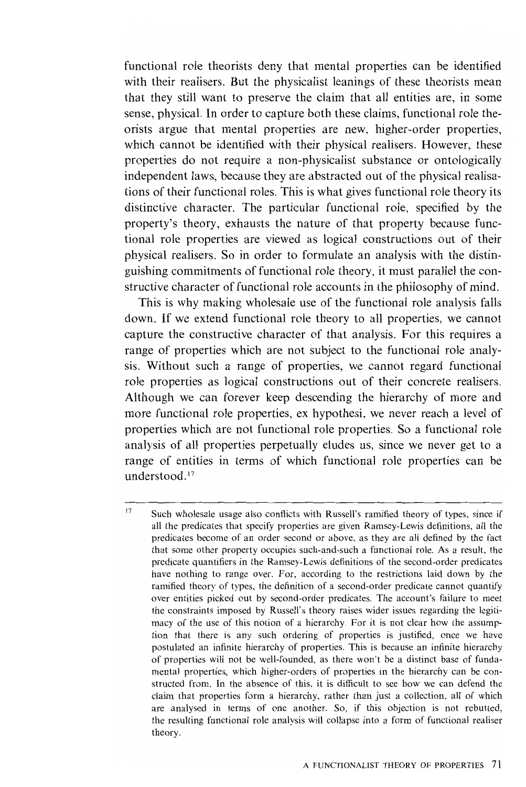functional role theorists deny that mental properties can be identified with their realisers. But the physicalist leanings of these theorists mean that they still want to preserve the claim that all entities are, in some sense, physical. In order to capture both these claims, functional role theorists argue that mental properties are new, higher-order properties, which cannot be identified with their physical realisers. However, these properties do not require a non-physicalist substance or ontologically independent laws, because they are abstracted out of the physical realisations of their functional roles. This is what gives functional role theory its distinctive character. The particular functional role, specified by the property's theory, exhausts the nature of that property because functional role properties are viewed as logical constructions out of their physical realisers. So in order to formulate an analysis with the distinguishing commitments of functional role theory, it must parallel the constructive character of functional role accounts in the philosophy of mind.

This is why making wholesale use of the functional role analysis falls down. If we extend functional role theory to all properties, we cannot capture the constructive character of that analysis. For this requires a range of properties which are not subject to the functional role analysis. Without such a range of properties, we cannot regard functional role properties as logical constructions out of their concrete realisers. Although we can forever keep descending the hierarchy of more and more functional role properties, ex hypothesi, we never reach a level of properties which are not functional role properties. So a functional role analysis of all properties perpetually eludes us, since we never get to a range of entities in terms of which functional role properties can be understood.<sup>17</sup>

 $17$  Such wholesale usage also conflicts with Russell's ramified theory of types, since if a11 the predicates that specify properties are given Ramsey-Lewis definitions, a11 the predicates become of an order second or above, as they are a11 defined by the fact that some other property occupies such-and-such a functional role. As a result, the predicate quantifiers in the Ramsey-Lewis definitions of the second-order predicates have nothing to range over. For, according to the restrictions laid down by the ramified theory of types, the definition of a second-order predicate cannot quantify over entities picked out by second-order predicates. The account's failure to meet the constraints imposed by Russell's theory raises wider issues regarding the legitimacy of the use of this notion of a hierarchy. For it is not clear how the assumption that there is any such ordering of properties is justified, once we have postulated an infinite hierarchy of properties. This is because an infinite hierarchy of properties will not be we11-founded, as there won't be a distinct base of fundamental properties, which higher-orders of properties in the hierarchy can be constructed from. In the absence of this, it is difficult to see how we can defend the claim that properties form a hierarchy, rather than just a collection, a11 of which are analysed in terms of one another. So, if this objection is not rebutted, the resulting functional role analysis will co11apse into a form of functional realiser theory.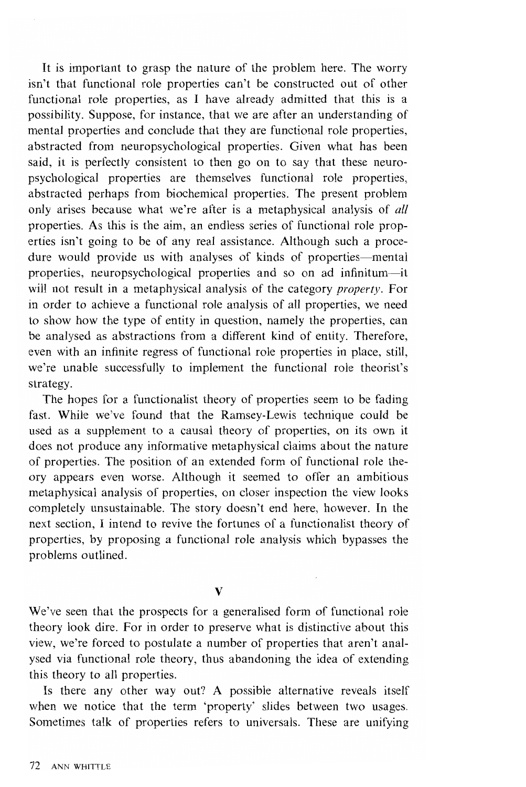It is important to grasp the nature of the problem here. The worry isn't that functional role properties can't be constructed out of other functional role properties, as I have already admitted that this is a possibility. Suppose, for instance, that we are after an understanding of mental properties and conclude that they are functional role properties, abstracted from neuropsychological properties. Given what has been said, it is perfectly consistent to then go on to say that these neuropsychological properties are themselves functional role properties, abstracted perhaps from biochemical properties. The present problem only arises because what we're after is a metaphysical analysis of *all* properties. As this is the aim, an endless series of functional role properties isn't going to be of any real assistance. Although such a procedure would provide us with analyses of kinds of properties-mental properties, neuropsychological properties and so on ad infinitum-it will not result in a metaphysical analysis of the category *property.* For in order to achieve a functional role analysis of all properties, we need to show how the type of entity in question, namely the properties, can be analysed as abstractions from a different kind of entity. Therefore, even with an infinite regress of functional role properties in place, still, we're unable successfully to implement the functional role theorist's strategy.

The hopes for a functionalist theory of properties seem to be fading fast. While we've found that the Ramsey-Lewis teehnique could be used as a supplement to a causal theory of properties, on its own it does not produce any informative metaphysical claims about the nature of properties. The position of an extended form of functional role theory appears even worse. Although it seemed to offer an ambitious metaphysieal analysis of properties, on eloser inspeetion the view looks completely unsustainable. The story doesn't end here, however. In the next section, I intend to revive the fortunes of a functionalist theory of properties, by proposing a functional role analysis whieh bypasses the problems outlined.

v

We've seen that the prospects for a generalised form of functional role theory look dire. For in order to preserve what is distinetive about this view, we're foreed to postulate a number of properties that aren't analysed via functional role theory, thus abandoning the idea of extending this theory to all properties.

Is there any other way out? A possible alternative reveals itself when we notice that the term 'property' slides between two usages. Sometimes talk of properties refers to universals. These are unifying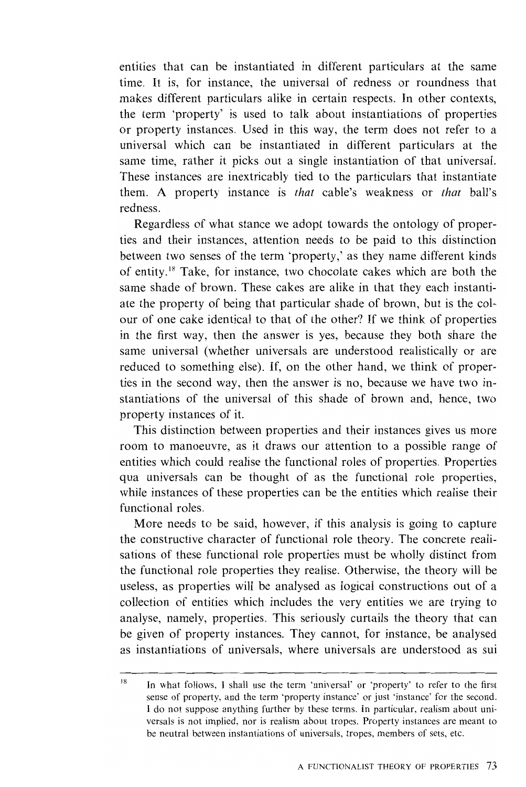entities that can be instantiated in different particulars at the same time. It is, for instance, the universal of redness or roundness that makes different particulars alike in certain respects. In other contexts, the term 'property' is used to talk about instantiations of properties or property instances. Used in this way, the term does not refer to a universal which can be instantiated in different particulars at the same time, rather it picks out a single instantiation of that universal. These instances are inextricably tied to the particulars that instantiate them. A property instance is *that* cable's weakness or *that* ball's redness.

Regardless of what stance we adopt towards the ontology of properties and their instances, attention needs to be paid to this distinction between two senses of the term 'property,' as they name different kinds of entity.18 Take, for instance, two chocolate cakes which are both the same shade of brown. These cakes are alike in that they each instantiate the property of being that particular shade of brown, but is the colour of one cake identical to that of the other? If we think of properties in the first way, then the answer is yes, because they both share the same universal (whether universals are understood realistically or are reduced to something else). If, on the other hand, we think of properties in the second way, then the answer is no, because we have two instantiations of the universal of this shade of brown and, hence, two property instances of it.

This distinction between properties and their instances gives us more room to manoeuvre, as it draws our attention to a possible range of entities which could realise the functional roles of properties. Properties qua universals can be thought of as the functional role properties, while instances of these properties can be the entities which realise their functional roles.

More needs to be said, however, if this analysis is going to capture the constructive character of functional role theory. The concrete realisations of these functional role properties must be wholly distinct from the functional role properties they realise. Otherwise, the theory will be useless, as properties will be analysed as logical constructions out of a collection of entities which includes the very entities we are trying to analyse, namely, properties. This seriously curtails the theory that can be given of property instances. They cannot, for instance, be analysed as instantiations of universals, where universals are understood as sui

<sup>&</sup>lt;sup>18</sup> In what follows, I shall use the term 'universal' or 'property' to refer to the first sense of property, and the term 'property instance' or just 'instance' for the second. I do not suppose anything further by these terms. In particular, realism about universals is not implied, nor is realism about tropes. Property instances are meant to be neutral between instantiations of universals, tropes, members of sets, ete.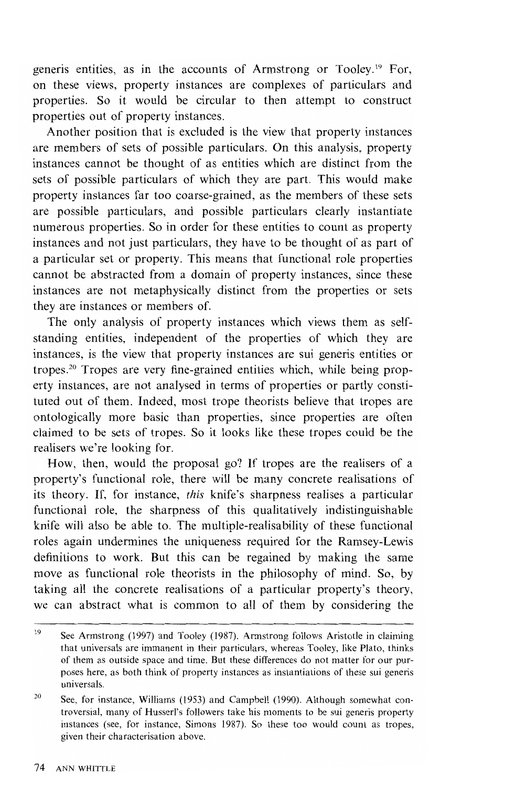generis entities, as in the accounts of Armstrong or Tooley.19 For, on these views, property instances are complexes of particulars and properties. So it would be circular to then attempt to construct properties out of property instances.

Another position that is excluded is the view that property instances are members of sets of possible particulars. On this analysis, property instances cannot be thought of as entities which are distinct from the sets of possible particulars of which they are part. This would make property instances far too coarse-grained, as the members of these sets are possible particulars, and possible particulars clearly instantiate numerous properties. So in order for these entities to count as property instances and not just particulars, they have to be thought of as part of a particular set or property. This means that functional role properties cannot be abstracted from a domain of property instances, since these instances are not metaphysically distinct from the properties or sets they are instances or members of.

The only analysis of property instances which views them as selfstanding entities, independent of the properties of which they are instances, is the view that property instances are sui generis entities or tropes. <sup>20</sup> Tropes are very fine-grained entities which, while being property instances, are not analysed in terms of properties or partly constituted out of them. Indeed, most trope theorists believe that tropes are ontologically more basic than properties, since properties are often claimed to be sets of tropes. So it looks like these tropes could be the realisers we're looking for.

How, then, would the proposal go? If tropes are the realisers of a property's functional role, there will be many concrete realisations of its theory. If, for instance, *this* knife's sharpness realises a particular functional role, the sharpness of this qualitatively indistinguishable knife will also be able to. The multiple-realisability of these functional roles again undermines the uniqueness required for the Ramsey-Lewis definitions to work. But this can be regained by making the same move as functional role theorists in the philosophy of mind. So, by taking all the concrete realisations of a particular property's theory, we can abstract what is common to all of them by considering the

<sup>19</sup> See Armstrong (1997) and Tooley (1987). Armstrong follows Aristotle in claiming that universals are immanent in their particulars, whereas Tooley, like Plato, thinks of them as outside space and time. But these differences do not matter for our purposes here, as both think of property instances as instantiations of these sui generis universals.

<sup>20</sup> See, for instance, Williams (1953) and Campbell (1990). Although somewhat controversial, many of Husserl's followers take his moments to be sui generis property instances (see, for instance, Simons 1987). So these too would count as tropes, given their characterisation above.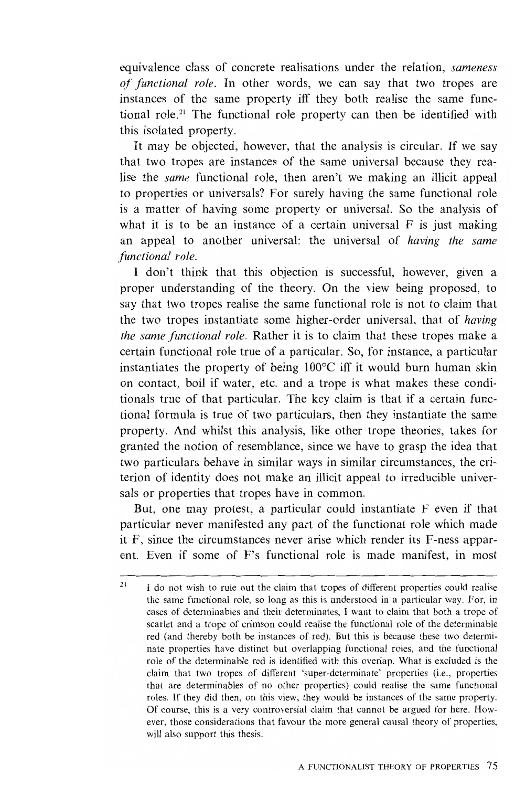equivalence class of concrete realisations under the relation, *sameness of functional role.* In other words, we can say that two tropes are instances of the same property iff they both realise the same functional role.<sup>21</sup> The functional role property can then be identified with this isolated property.

It may be objected, however, that the analysis is circular. If we say that two tropes are instances of the same universal because they realise the *same* functional role, then aren't we making an illicit appeal to properties or universals? For surely having the same functional role is a matter of having some property or universal. So the analysis of what it is to be an instance of a certain universal F is just making an appeal to another universal: the universal of *having the same functional role.*

I don't think that this objection is successful, however, given a proper understanding of the theory. On the view being proposed, to say that two tropes realise the same functional role is not to claim that the two tropes instantiate some higher-order universal, that of *having the same functional role.* Rather it is to claim that these tropes make a certain functional role true of a particular. So, for instance, a particular instantiates the property of being 100°C iff it would burn human skin on contact, boiI if water, etc. and a trope is what makes these conditionals true of that particular. The key claim is that if a certain functional formula is true of two particulars, then they instantiate the same property. And whilst this analysis, like other trope theories, takes for granted the notion of resemblance, since we have to grasp the idea that two particulars behave in similar ways in similar circumstances, the criterion of identity does not make an illicit appeal to irreducible universals or properties that tropes have in common.

But, one may protest, a particular could instantiate F even if that particular never manifested any part of the functional role which made it F, since the circumstances never arise which render its F-ness apparent. Even if some of F's functional role is made manifest, in most

<sup>&</sup>lt;sup>21</sup> I do not wish to rule out the claim that tropes of different properties could realise the same functional role, so long as this is understood in a particular way. For, in cases of determinables and their determinates, I want to claim that both a trope of scarlet and a trope of crimson could realise the functional role of the determinable red (and thereby both be instances of red). But this is because these two determinate properties have distinct but overlapping functional roles, and the functional role of the determinable red is identified with this overlap. What is excluded is the claim that two tropes of different 'super-determinate' properties (i.e., properties that are determinables of no other properties) could realise the same functional roles. If they did then, on this view, they would be instances of the same property. Of course, this is a very controversial claim that cannot be argued for here. However, those considerations that favour the more general causal theory of properties, will also support this thesis.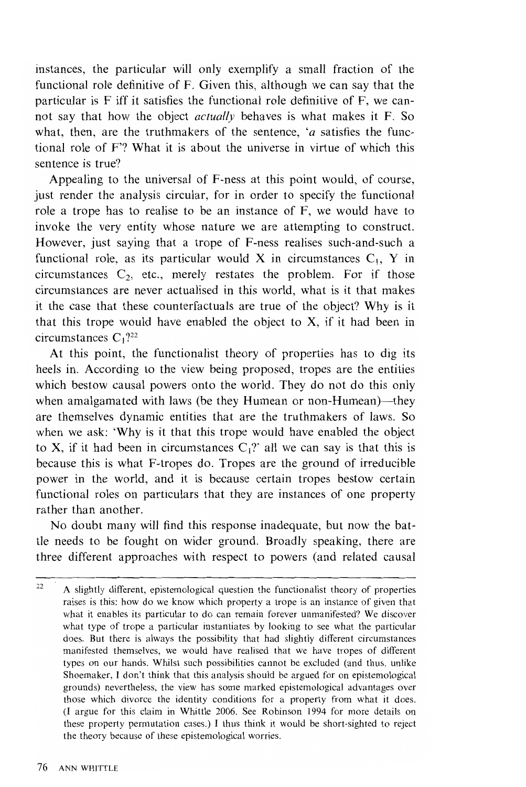instances, the particular will only exemplify a small fraction of the functional role definitive of F. Given this, although we can say that the particular is F iff it satisfies the functional role definitive of F, we cannot say that how the object *actually* behaves is what makes it F. So what, then, are the truthmakers of the sentence, *'a* satisfies the functional role of F'? What it is about the universe in virtue of which this sentence is true?

Appealing to the universal of F-ness at this point would, of course, just render the analysis circular, for in order to specify the functional role a trope has to realise to be an instance of F, we would have to invoke the very entity whose nature we are attempting to construct. However, just saying that a trope of F-ness realises such-and-such a functional role, as its particular would X in circumstances  $C_1$ , Y in circumstances  $C_2$ , etc., merely restates the problem. For if those circumstances are never actualised in this world, what is it that makes it the case that these counterfactuals are true of the object? Why is it that this trope would have enabled the object to  $X$ , if it had been in circumstances  $C_1$ ?<sup>22</sup>

At this point, the functionalist theory of properties has to dig its heels in. According to the view being proposed, tropes are the entities which bestow causal powers onto the world. They do not do this only when amalgamated with laws (be they Humean or non-Humean)—they are themselves dynamic entities that are the truthmakers of laws. So when we ask: 'Why is it that this trope would have enabled the object to X, if it had been in circumstances  $C_1$ ?' all we can say is that this is because this is what F-tropes do. Tropes are the ground of irreducible power in the world, and it is because certain tropes bestow certain functional roles on particulars that they are instances of one property rather than another.

No doubt many will find this response inadequate, but now the battle needs to be fought on wider ground. Broadly speaking, there are three different approaches with respect to powers (and related causal

 $22$  A slightly different, epistemological question the functionalist theory of properties raises is this: how do we know which property a trope is an instance of given that what it enables its particular to do can remain forever unmanifested? We discover what type of trope a particular instantiates by looking to see what the particular does. But there is always the possibility that had slightly different circumstances manifested themselves, we would have realised that we have tropes of different types on our hands. Whilst such possibilities cannot be excluded (and thus, unlike Shoemaker, I don't think that this analysis should be argued for on epistemological grounds) nevertheless, the view has some marked epistemological advantages over those which divorce the identity conditions for a property from what it does. (I argue for this claim in Whittle 2006. See Robinson 1994 for more details on these property permutation cases.) 1 thus think it would be short-sighted to reject the theory because of these epistemological worries.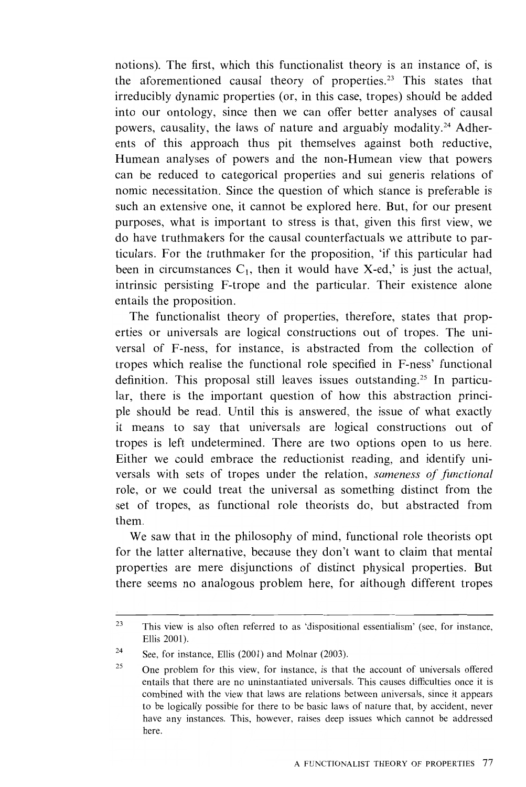notions). The first, which this functionalist theory is an instance of, is the aforementioned causal theory of properties.<sup>23</sup> This states that irreducibly dynamic properties (or, in this case, tropes) should be added into our ontology, since then we can offer better analyses of causal powers, causality, the laws of nature and arguably modality.<sup>24</sup> Adherents of this approach thus pit themselves against both reductive, Humean analyses of powers and the non-Humean view that powers can be reduced to categorical properties and sui generis relations of nomic necessitation. Since the question of which stance is preferable is such an extensive one, it cannot be explored here. But, for our present purposes, what is important to stress is that, given this first view, we do have truthmakers for the causal counterfactuals we attribute to particulars. For the truthmaker for the proposition, 'if this particular had been in circumstances  $C_1$ , then it would have X-ed,' is just the actual, intrinsic persisting F-trope and the particular. Their existence alone entails the proposition.

The functionalist theory of properties, therefore, states that properties or universals are logical constructions out of tropes. The universal of F-ness, for instance, is abstracted from the collection of tropes which realise the functional role specified in F-ness' functional definition. This proposal still leaves issues outstanding.<sup>25</sup> In particular, there is the important question of how this abstraction principle should be read. Until this is answered, the issue of what exactly it means to say that universals are logical constructions out of tropes is left undetermined. There are two options open to us here. Either we could embrace the reductionist reading, and identify universals with sets of tropes under the relation, *sameness of functional* role, or we could treat the universal as something distinct from the set of tropes, as functional role theorists do, but abstracted from them.

We saw that in the philosophy of mind, functional role theorists opt for the latter alternative, because they don't want to claim that mental properties are mere disjunctions of distinct physical properties. But there seems no analogous problem here, for although different tropes

<sup>23</sup> This view is also often referred to as 'dispositional essentialism' (see, for instance, Ellis 2001).

<sup>24</sup> See, for instance, Ellis (2001) and Molnar (2003).

<sup>25</sup> One problem for this view, for instance, is that the account of universals offered entails that there are no uninstantiated universals. This causes difficulties once it is combined with the view that laws are relations between universals, since it appears to be logically possible for there to be basic laws of nature that, by accident, never have any instances. This, however, raises deep issues which cannot be addressed here.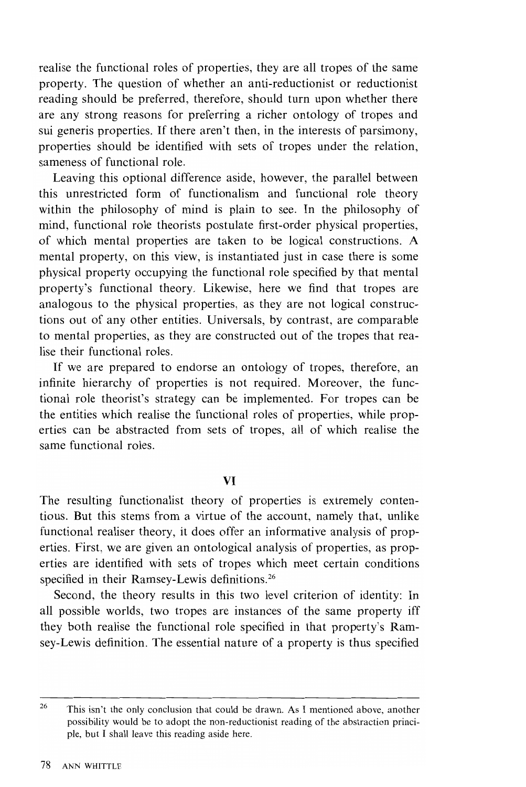realise the funetional roles of properties, they are all tropes of the same property. The question of whether an anti-reduetionist or reduetionist reading should be preferred, therefore, should turn upon whether there are any strong reasons for preferring a richer ontology of tropes and sui generis properties. If there aren't then, in the interests of parsimony, properties should be identified with sets of tropes under the relation, sameness of functional role.

Leaving this optional differenee aside, however, the parallel between this unrestricted form of functionalism and functional role theory within the philosophy of mind is plain to see. In the philosophy of mind, funetional role theorists postulate first-order physieal properties, of whieh mental properties are taken to be logieal construetions. A mental property, on this view, is instantiated just in ease there is some physical property oceupying the funetional role speeified by that mental property's funetional theory. Likewise, here we find that tropes are analogous to the physieal properties, as they are not logieal eonstruetions out of any other entities. Universals, by eontrast, are comparable to mental properties, as they are eonstrueted out of the tropes that realise their funetional roles.

If we are prepared to endorse an ontology of tropes, therefore, an infinite hierarehy of properties is not required. Moreover, the funetional role theorist's strategy ean be implemented. For tropes ean be the entities whieh realise the funetional roles of properties, while properties ean be abstraeted from sets of tropes, all of which realise the same functional roles.

## **VI**

The resulting functionalist theory of properties is extremely contentious. But this sterns from a virtue of the aeeount, namely that, unlike funetional realiser theory, it does offer an informative analysis of properties. First, we are given an ontologieal analysis of properties, as properties are identified with sets of tropes whieh meet eertain eonditions specified in their Ramsey-Lewis definitions.<sup>26</sup>

Second, the theory results in this two level criterion of identity: In all possible worlds, two tropes are instanees of the same property iff they both realise the functional role speeified in that property's Ramsey-Lewis definition. The essential nature of a property is thus speeified

<sup>&</sup>lt;sup>26</sup> This isn't the only conclusion that could be drawn. As I mentioned above, another possibility would be to adopt the non-reductionist reading of the abstraction principle, but I shall leave this reading aside here.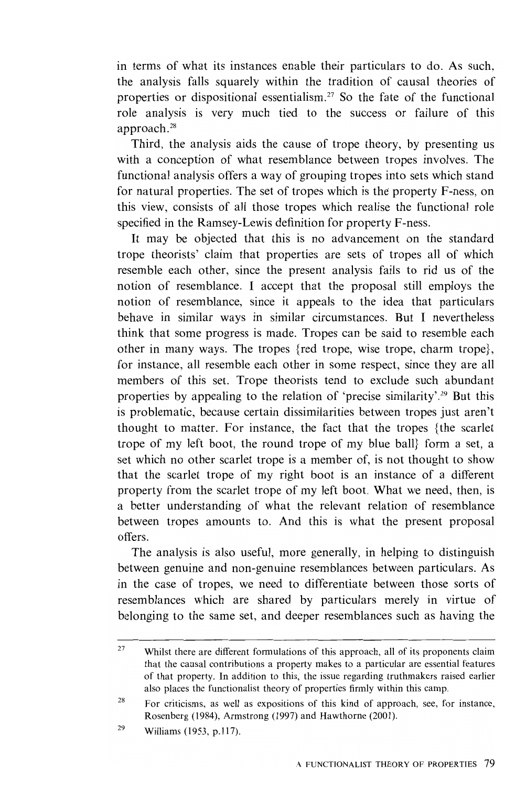in terms of what its instances enable their particulars to do. As such, the analysis falls squarely within the tradition of causal theories of properties or dispositional essentialism. <sup>27</sup> So the fate of the functional role analysis is very much tied to the success or failure of this approach. <sup>28</sup>

Third, the analysis aids the cause of trope theory, by presenting us with a conception of what resemblance between tropes involves. The functional analysis offers a way of grouping tropes into sets which stand for natural properties. The set of tropes which is the property F-ness, on this view, consists of all those tropes which realise the functional role specified in the Ramsey-Lewis definition for property F-ness.

It may be objected that this is no advancement on the standard trope theorists' claim that properties are sets of tropes all of which resemble each other, since the present analysis fails to rid us of the notion of resemblance. I accept that the proposal still employs the notion of resemblance, since it appeals to the idea that particulars behave in similar ways in similar circumstances. But 1 nevertheless think that some progress is made. Tropes can be said to resemble each other in many ways. The tropes {red trope, wise trope, charm trope}, for instance, all resemble each other in some respect, since they are all members of this set. Trope theorists tend to exclude such abundant properties by appealing to the relation of 'precise similarity'. <sup>29</sup> But this is problematic, because certain dissimilarities between tropes just aren't thought to matter. For instance, the fact that the tropes {the scarlet trope of my left boot, the round trope of my blue ball} form a set, a set which no other scarlet trope is a member of, is not thought to show that the scarlet trope of my right boot is an instance of a different property from the scarlet trope of my left boot. What we need, then, is a better understanding of what the relevant relation of resemblance between tropes amounts to. And this is what the present proposal offers.

The analysis is also useful, more generally, in helping to distinguish between genuine and non-genuine resemblances between particulars. As in the case of tropes, we need to differentiate between those sorts of resemblances which are shared by particulars merely in virtue of belonging to the same set, and deeper resemblances such as having the

<sup>27</sup> Whilst there are different formulations of this approach, all of its proponents claim that the causal contributions a property makes to a particular are essential features of that property. In addition to this, the issue regarding truthmakers raised earlier also places the functionalist theory of properties firmly within this camp.

<sup>28</sup> For criticisms, as weIl as expositions of this kind of approach, see, for instance, Rosenberg (1984), Armstrong (1997) and Hawthorne (2001).

<sup>29</sup> Williams (1953, p.117).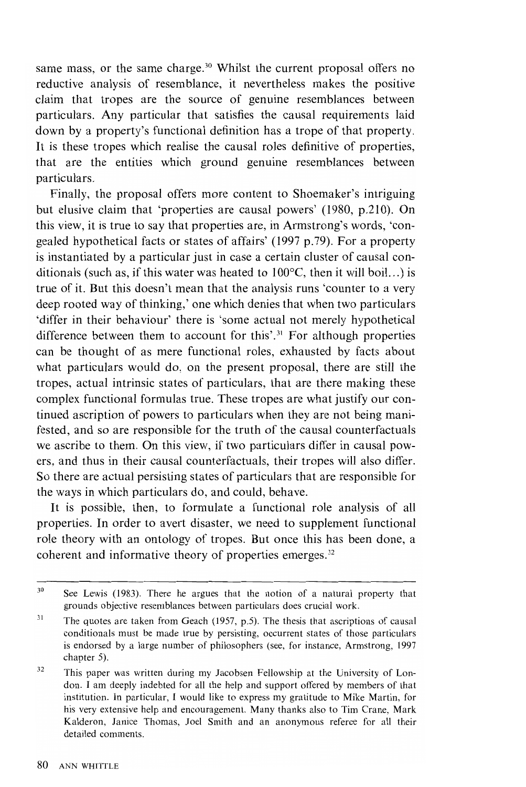same mass, or the same charge.<sup>30</sup> Whilst the current proposal offers no reductive analysis of resemblance, it nevertheless makes the positive claim that tropes are the source of genuine resemblances between particulars. Any particular that satisfies the causal requirements laid down by a property's functional definition has a trope of that property. It is these tropes which realise the causal roles definitive of properties, that are the entities which ground genuine resemblances between particulars.

Finally, the proposal offers more content to Shoemaker's intriguing but elusive claim that 'properties are causal powers' (1980, p.2l0). On this view, it is true to say that properties are, in Armstrong's words, 'congealed hypothetical facts or states of affairs' (1997 p.79). For a property is instantiated by a particular just in case a certain cluster of causal conditionals (such as, if this water was heated to  $100^{\circ}$ C, then it will boil...) is true of it. But this doesn't mean that the analysis runs 'counter to a very deep rooted way of thinking,' one which denies that when two particulars 'differ in their behaviour' there is 'some actual not merely hypothetical difference between them to account for this'.<sup>31</sup> For although properties can be thought of as mere functional roles, exhausted by facts about what particulars would do, on the present proposal, there are still the tropes, actual intrinsic states of particulars, that are there making these complex functional formulas true. These tropes are what justify our continued ascription of powers to particulars when they are not being manifested, and so are responsible for the truth of the causal counterfactuals we ascribe to them. On this view, if two particulars differ in causal powers, and thus in their causal counterfactuals, their tropes will also differ. So there are actual persisting states of particulars that are responsible for the ways in which particulars do, and could, behave.

It is possible, then, to formulate a functional role analysis of all properties. In order to avert disaster, we need to supplement functional role theory with an ontology of tropes. But once this has been done, a coherent and informative theory of properties emerges. <sup>32</sup>

<sup>30</sup> See Lewis (1983). There he argues that the notion of a natural property that grounds objective resemblances between particulars does crucial work.

<sup>31</sup> The quotes are taken from Geach (1957, p.5). The thesis that ascriptions of causal conditionals must be made true by persisting, occurrent states of those particulars is endorsed by a large number of philosophers (see, for instance, Armstrong, 1997 chapter 5).

<sup>32</sup> This paper was written during my Jacobsen Fellowship at the University of London. I am deeply indebted for all the help and support offered by members of that institution. In particular, I would like to express my gratitude to Mike Martin, for his very extensive help and encouragement. Many thanks also to Tim Crane, Mark Kalderon, Janice Thomas, Joel Smith and an anonymous referee for all their detailed comments.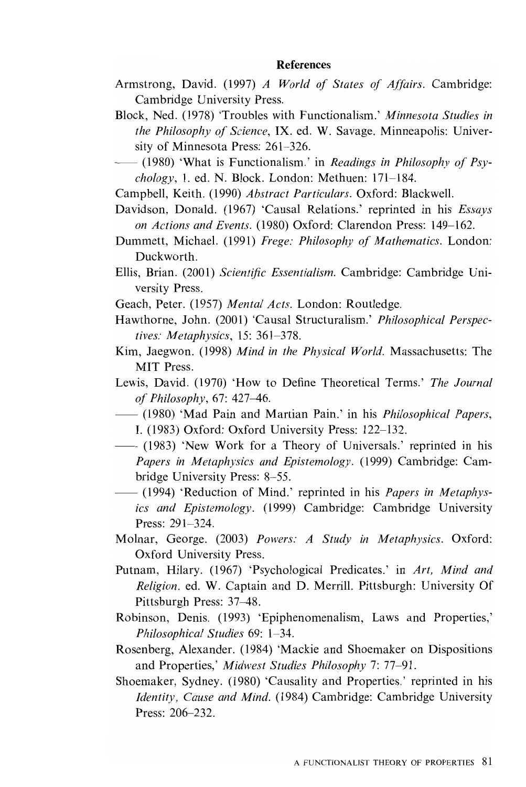### **References**

- Armstrong, David. (1997) *A World of States of Affairs*. Cambridge: Cambridge University Press.
- Block, Ned. (1978) 'Troubles with Functionalism.' *Minnesota Studies in the Philosophy 0/ Science,* IX. ed. W. Savage. Minneapolis: University of Minnesota Press: 261-326.
- $-$  (1980) 'What is Functionalism.' in *Readings in Philosophy of Psychology,* 1. ed. N. Block. London: Methuen: 171-184.
- Campbell, Keith. (1990) *Abstract Particulars.* Oxford: Blackwell.
- Davidson, Donald. (1967) 'Causal Relations.' reprinted in his *Essays on Actions and Events.* (1980) Oxford: Clarendon Press: 149-162.
- Dummett, Michael. (1991) *Frege: Philosophy of Mathematics.* London: Duckworth.
- Ellis, Brian. (2001) *Scientific Essentialism*. Cambridge: Cambridge University Press.
- Geach, Peter. (1957) *Mental Acts.* London: Routledge.
- Hawthorne, lohn. (2001) 'Causal Structuralism.' *Philosophical Perspectives: Me taphysics*, 15: 361-378.
- Kim, laegwon. (1998) *Mind in the Physical World.* Massachusetts: The MIT Press.
- Lewis, David. (1970) 'How to Define Theoretical Terms.' *The Journal 0/ Philosophy,* 67: 427--46.
- --(1980) 'Mad Pain and Martian Pain.' in his *Philosophical Papers,* I. (1983) Oxford: Oxford University Press: 122-132.
- $-$  (1983) 'New Work for a Theory of Universals.' reprinted in his *Papers in Metaphysics and Epistemology.* (1999) Cambridge: Cambridge University Press: 8-55.
- $-$  (1994) 'Reduction of Mind.' reprinted in his *Papers in Metaphysics and Epistemology.* (1999) Cambridge: Cambridge University Press: 291-324.
- Molnar, George. (2003) *Powers: A Study in Metaphysics.* Oxford: Oxford University Press.
- Putnam, Hilary. (1967) 'Psychological Predicates.' in *Art, Mind and Religion.* ed. W. Captain and D. Merrill. Pittsburgh: University Of Pittsburgh Press: 37-48.
- Robinson, Denis. (1993) 'Epiphenomenalism, Laws and Properties,' *Philosophical Studies* 69: 1-34.
- Rosenberg, Alexander. (1984) 'Mackie and Shoemaker on Dispositions and Properties,' *Midwest Studies Philosophy* 7: 77-91.
- Shoemaker, Sydney. (1980) 'Causality and Properties.' reprinted in his *Identity, Cause and Mind.* (1984) Cambridge: Cambridge University Press: 206-232.